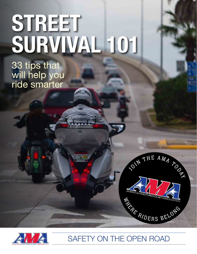## **Street Survival 101**

33 tips that will help you ride smarter





## Safety On The Open Road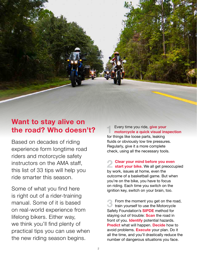

## **Want to stay alive on the road? Who doesn't?**

Based on decades of riding experience form longtime road riders and motorcycle safety instructors on the AMA staff, this list of 33 tips will help you ride smarter this season.

Some of what you find here is right out of a rider-training manual. Some of it is based on real-world experience from lifelong bikers. Either way, we think you'll find plenty of practical tips you can use when the new riding season begins.

**1** Every time you ride, **give your motorcycle a quick visual inspection** for things like loose parts, leaking fluids or obviously low tire pressures. Regularly, give it a more complete check, using all the necessary tools.

**2 Clear your mind before you even**<br> **start your bike.** We all get preoccupied by work, issues at home, even the outcome of a basketball game. But when you're on the bike, you have to focus on riding. Each time you switch on the ignition key, switch on your brain, too.

**3** From the moment you get on the road,<br>
train yourself to use the Motorcycle Safety Foundation's **SIPDE** method for staying out of trouble: **Scan** the road in front of you. **Identify** potential hazards. **Predict** what will happen. **Decide** how to avoid problems. **Execute** your plan. Do it all the time, and you'll drastically reduce the number of dangerous situations you face.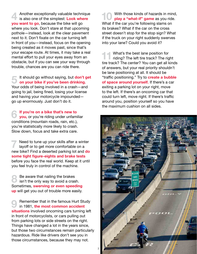**4** Another exceptionally valuable technique is also one of the simplest: **Look where you want to go**, because the bike will go where you look. Don't stare at that upcoming pothole—instead, look at the clear pavement next to it. Don't fixate on the car turning left in front of you—instead, focus on the opening being created as it moves past, since that's your escape route. At times, it may take a real mental effort to pull your eyes away from an obstacle, but if you can see your way through trouble, chances are you can ride there.

**5** It should go without saying, but **don't get on your bike if you've been drinking.**  Your odds of being involved in a crash—and going to jail, being fined, losing your license and having your motorcycle impounded go up enormously. Just don't do it.

**6 If you're on a bike that's new to**<br> **o you**, or you're riding under unfamiliar conditions (mountain roads, rain, etc.), you're statistically more likely to crash. Slow down, focus and take extra care.

**7** Need to tune up your skills after a winter layoff or to get more comfortable on a new bike? Find a deserted parking lot and **do some tight figure-eights and brake tests**  before you face the real world. Keep at it until you feel truly in control of the machine.

**8** Be aware that nailing the brakes<br>
isn't the only way to avoid a crash. Sometimes, **swerving or even speeding up** will get you out of trouble more easily.

**9** Remember that in the famous Hurt Study in 1981, the most common accident **situations** involved oncoming cars turning left in front of motorcyclists, or cars pulling out from parking lots or side streets on the right. Things have changed a lot in the years since, but those two circumstances remain particularly hazardous. Ride like drivers don't see you in those circumstances, because they may not.

**10** With those kinds of hazards in mind,<br> **play a "what-if" game** as you ride. What if the car you're following slams on its brakes? What if the car on the cross street doesn't stop for the stop sign? What if the truck on your right suddenly swerves into your lane? Could you avoid it?

**11** What's the best lane position for<br>
riding? The left tire track? The right tire track? The center? You can get all kinds of answers, but your real priority shouldn't be lane positioning at all. It should be "traffic positioning." Try to **create a bubble of space around yourself.** If there's a car exiting a parking lot on your right, move to the left. If there's an oncoming car that could turn left, move right. If there's traffic around you, position yourself so you have the maximum cushion on all sides.

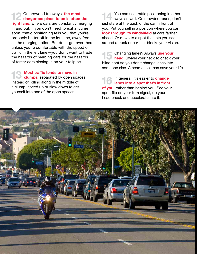12 On crowded freeways, the most<br> **dangerous place to be is often the right lane,** where cars are constantly merging in and out. If you don't need to exit anytime soon, traffic positioning tells you that you're probably better off in the left lane, away from all the merging action. But don't get over there unless you're comfortable with the speed of traffic in the left lane—you don't want to trade the hazards of merging cars for the hazards of faster cars closing in on your tailpipe.

**13 Most traffic tends to move in**<br> **clumps,** separated by open spaces. Instead of rolling along in the middle of a clump, speed up or slow down to get yourself into one of the open spaces.

**144 You can use traffic positioning in other ways as well. On crowded roads, don't** just stare at the back of the car in front of you. Put yourself in a position where you can **look through its windshield** at cars farther ahead. Or move to a spot that lets you see around a truck or car that blocks your vision.

**15** Changing lanes? Always use your<br>**head.** Swivel your neck to check your blind spot so you don't change lanes into someone else. A head check can save your life.

**16** In general, it's easier to **change**<br> **lanes into a spot that's in front of you,** rather than behind you. See your spot, flip on your turn signal, do your head check and accelerate into it.

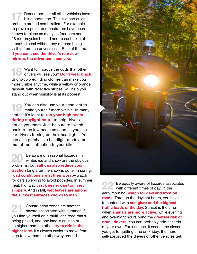**17** Remember that all other vehicles have blind spots, too. This is a particular problem around semi-trailers. For example, to prove a point, demonstrators have been known to place as many as four cars and 28 motorcycles behind and to each side of a parked semi without any of them being visible from the driver's seat. Rule of thumb: **If you can't see the driver's rearview mirrors, the driver can't see you.**

**188 Want to improve the odds that other drivers will see you? Don't wear black.** Bright-colored riding clothes can make you more visible anytime, while a yellow or orange rainsuit, with reflective stripes, will help you stand out when visibility is at its poorest.

**19** You can also use your headlight to make yourself more visible. In many states, it's legal to **run your high beam during daylight hours** to help drivers notice you more. Just be sure to switch back to the low beam as soon as you see car drivers turning on their headlights. You can also purchase a headlight modulator that attracts attention to your bike.

**20** Be aware of seasonal hazards. In<br>winter, ice and snow are the obvious problems, but **salt can also reduce your traction** long after the snow is gone. In spring, **road conditions are at their worst**—watch for cars swerving to avoid potholes. In summer heat, highway **crack sealer can turn very slippery.** And in fall, **wet leaves are among the slickest surfaces known to man.**

**21** Construction zones are another<br>hazard associated with summer. If you find yourself on a multi-lane road that's being paved, and one lane is an inch or so higher than the other, **try to ride in the higher lane.** It's always easier to move from high to low than the other way around.



**22** Be equally aware of hazards associated with different times of day. In the early morning, **watch for dew and frost on roads.** Through the daylight hours, you have to contend with **sun glare and the highest traffic loads of the day.** Sunset is the time when **animals are more active,** while evening and overnight hours bring the **greatest risk of drunk drivers.** You can probably add hazards of your own. For instance, it seems the closer you get to quitting time on Friday, the more self-absorbed the drivers of other vehicles get.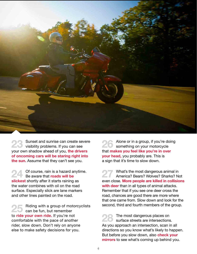

**23** Sunset and sunrise can create severe visibility problems. If you can see your own shadow ahead of you, **the drivers of oncoming cars will be staring right into the sun.** Assume that they can't see you.

**24** Of course, rain is a hazard anytime. Be aware that **roads will be slickest** shortly after it starts raining as the water combines with oil on the road surface. Especially slick are lane markers and other lines painted on the road.

**25** Riding with a group of motorcyclists can be fun, but remember to **ride your own ride.** If you're not comfortable with the pace of another rider, slow down. Don't rely on anyone else to make safety decisions for you.

**26** Alone or in a group, if you're doing something on your motorcycle that **makes you feel like you're in over your head,** you probably are. This is a sign that it's time to slow down.

**27** What's the most dangerous animal in America? Bears? Wolves? Sharks? Not even close. **More people are killed in collisions with deer** than in all types of animal attacks. Remember that if you see one deer cross the road, chances are good there are more where that one came from. Slow down and look for the second, third and fourth members of the group.

**28** The most dangerous places on surface streets are intersections. As you approach an intersection, scan in all directions so you know what's likely to happen. But before you slow down, also **check your mirrors** to see what's coming up behind you.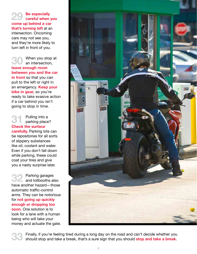**29 Be especially careful when you come up behind a car that's turning left** at an intersection. Oncoming cars may not see you, and they're more likely to turn left in front of you.

**30** When you stop at an intersection, **leave enough room between you and the car in front** so that you can pull to the left or right in an emergency. **Keep your bike in gear,** so you're ready to take evasive action if a car behind you isn't going to stop in time.

**31** Pulling into a parking place? **Check the surface carefully.** Parking lots can be repositories for all sorts of slippery substances like oil, coolant and water. Even if you don't fall down while parking, these could coat your tires and give you a nasty surprise later.

**32** Parking garages and tollbooths also have another hazard—those automatic traffic-control arms. They can be notorious for **not going up quickly enough or dropping too soon.** One solution is to look for a lane with a human being who will take your money and actuate the gate.



**33** Finally, if you're feeling tired during a long day on the road and can't decide whether you should stop and take a break, that's a sure sign that you should **stop and take a break.**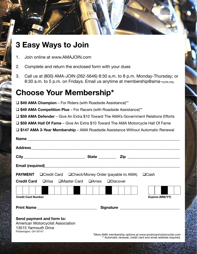

- 1. Join online at www.AMAJOIN.com
- 2. Complete and return the enclosed form with your dues
- 3. Call us at (800) AMA-JOIN (262-5646) 8:30 a.m. to 8 p.m. Monday-Thursday; or 8:30 a.m. to 5 p.m. on Fridays. Email us anytime at membership@ama-cycle.org.

## **Choose Your Membership\***

□ \$49 AMA Champion – For Riders (with Roadside Assistance)<sup>\*\*</sup>

□ \$49 AMA Competition Plus – For Racers (with Roadside Assistance)<sup>\*\*</sup>

□ \$59 AMA Defender – Give An Extra \$10 Toward The AMA's Government Relations Efforts

□ \$59 AMA Hall Of Fame – Give An Extra \$10 Toward The AMA Motorcycle Hall Of Fame

□ \$147 AMA 3-Year Membership – AMA Roadside Assistance Without Automatic Renewal

| <b>PAYMENT</b> □ Credit Card □ Check/Money Order (payable to AMA) □ Cash |  |  |                                                                                                                               |
|--------------------------------------------------------------------------|--|--|-------------------------------------------------------------------------------------------------------------------------------|
| <b>Credit Card</b> UVisa UMaster Card UAmex UDiscover                    |  |  |                                                                                                                               |
|                                                                          |  |  |                                                                                                                               |
| <b>Credit Card Number</b>                                                |  |  | Expires (MM/YY)                                                                                                               |
| <u>Print Name ________________________________</u>                       |  |  |                                                                                                                               |
| Send payment and form to:                                                |  |  |                                                                                                                               |
| American Motorcyclist Association                                        |  |  |                                                                                                                               |
| 13515 Yarmouth Drive<br>Pickerington, OH 43147                           |  |  |                                                                                                                               |
|                                                                          |  |  | *More AMA membership options at www.americanmotorcyclist.com<br>** Automatic renewal, credit card and email address required. |